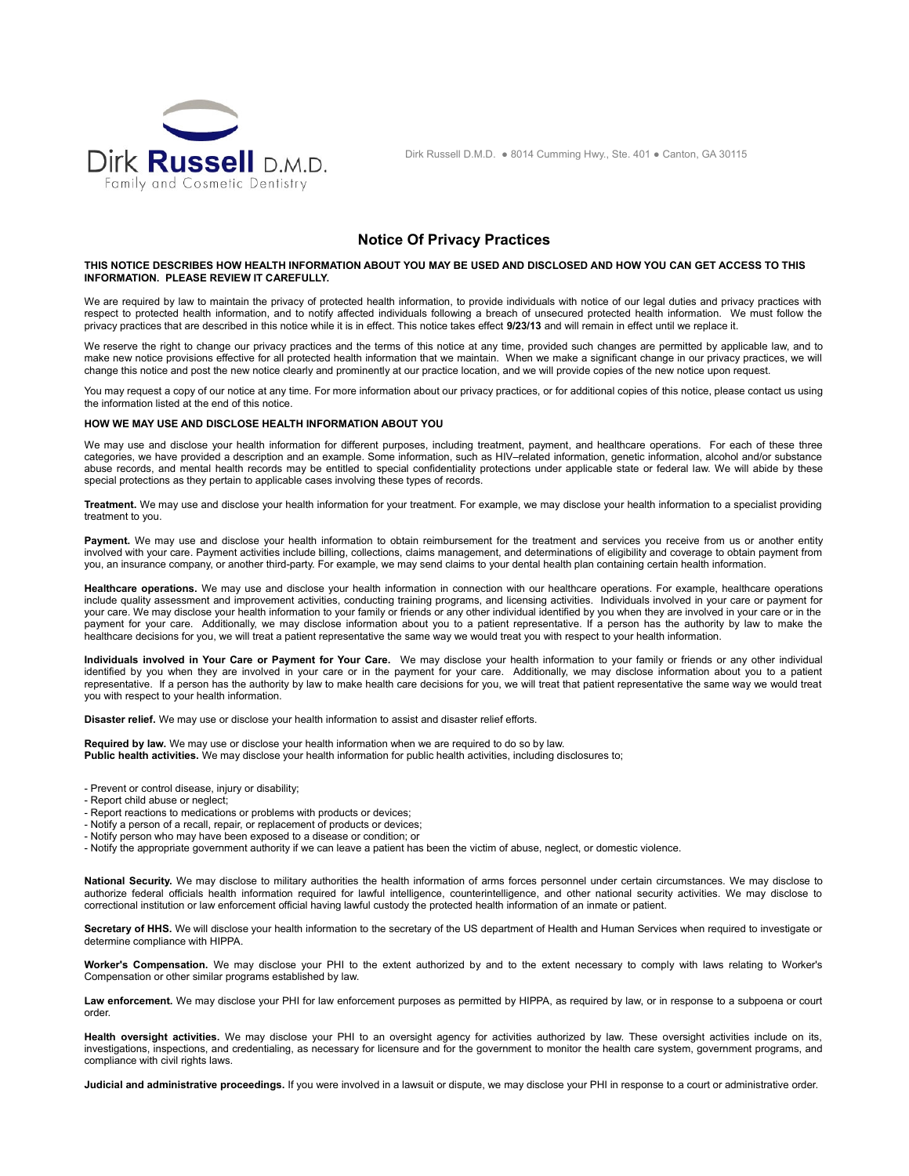

Dirk Russell D.M.D. ● 8014 Cumming Hwy., Ste. 401 ● Canton, GA 30115

# **Notice Of Privacy Practices**

#### **THIS NOTICE DESCRIBES HOW HEALTH INFORMATION ABOUT YOU MAY BE USED AND DISCLOSED AND HOW YOU CAN GET ACCESS TO THIS INFORMATION. PLEASE REVIEW IT CAREFULLY.**

We are required by law to maintain the privacy of protected health information, to provide individuals with notice of our legal duties and privacy practices with respect to protected health information, and to notify affected individuals following a breach of unsecured protected health information. We must follow the privacy practices that are described in this notice while it is in effect. This notice takes effect **9/23/13** and will remain in effect until we replace it.

We reserve the right to change our privacy practices and the terms of this notice at any time, provided such changes are permitted by applicable law, and to make new notice provisions effective for all protected health information that we maintain. When we make a significant change in our privacy practices, we will change this notice and post the new notice clearly and prominently at our practice location, and we will provide copies of the new notice upon request.

You may request a copy of our notice at any time. For more information about our privacy practices, or for additional copies of this notice, please contact us using the information listed at the end of this notice.

## **HOW WE MAY USE AND DISCLOSE HEALTH INFORMATION ABOUT YOU**

We may use and disclose your health information for different purposes, including treatment, payment, and healthcare operations. For each of these three categories, we have provided a description and an example. Some information, such as HIV–related information, genetic information, alcohol and/or substance abuse records, and mental health records may be entitled to special confidentiality protections under applicable state or federal law. We will abide by these special protections as they pertain to applicable cases involving these types of records.

**Treatment.** We may use and disclose your health information for your treatment. For example, we may disclose your health information to a specialist providing treatment to you.

Payment. We may use and disclose your health information to obtain reimbursement for the treatment and services you receive from us or another entity involved with your care. Payment activities include billing, collections, claims management, and determinations of eligibility and coverage to obtain payment from you, an insurance company, or another third-party. For example, we may send claims to your dental health plan containing certain health information.

Healthcare operations. We may use and disclose your health information in connection with our healthcare operations. For example, healthcare operations include quality assessment and improvement activities, conducting training programs, and licensing activities. Individuals involved in your care or payment for your care. We may disclose your health information to your family or friends or any other individual identified by you when they are involved in your care or in the payment for your care. Additionally, we may disclose information about you to a patient representative. If a person has the authority by law to make the healthcare decisions for you, we will treat a patient representative the same way we would treat you with respect to your health information.

**Individuals involved in Your Care or Payment for Your Care.** We may disclose your health information to your family or friends or any other individual identified by you when they are involved in your care or in the payment for your care. Additionally, we may disclose information about you to a patient representative. If a person has the authority by law to make health care decisions for you, we will treat that patient representative the same way we would treat you with respect to your health information.

**Disaster relief.** We may use or disclose your health information to assist and disaster relief efforts.

**Required by law.** We may use or disclose your health information when we are required to do so by law. **Public health activities.** We may disclose your health information for public health activities, including disclosures to;

- Prevent or control disease, injury or disability;

- Report child abuse or neglect;
- Report reactions to medications or problems with products or devices;
- Notify a person of a recall, repair, or replacement of products or devices;
- Notify person who may have been exposed to a disease or condition; or
- Notify the appropriate government authority if we can leave a patient has been the victim of abuse, neglect, or domestic violence.

**National Security.** We may disclose to military authorities the health information of arms forces personnel under certain circumstances. We may disclose to authorize federal officials health information required for lawful intelligence, counterintelligence, and other national security activities. We may disclose to correctional institution or law enforcement official having lawful custody the protected health information of an inmate or patient.

Secretary of HHS. We will disclose your health information to the secretary of the US department of Health and Human Services when required to investigate or determine compliance with HIPPA.

**Worker's Compensation.** We may disclose your PHI to the extent authorized by and to the extent necessary to comply with laws relating to Worker's Compensation or other similar programs established by law.

Law enforcement. We may disclose your PHI for law enforcement purposes as permitted by HIPPA, as required by law, or in response to a subpoena or court order.

**Health oversight activities.** We may disclose your PHI to an oversight agency for activities authorized by law. These oversight activities include on its, investigations, inspections, and credentialing, as necessary for licensure and for the government to monitor the health care system, government programs, and compliance with civil rights laws.

**Judicial and administrative proceedings.** If you were involved in a lawsuit or dispute, we may disclose your PHI in response to a court or administrative order.